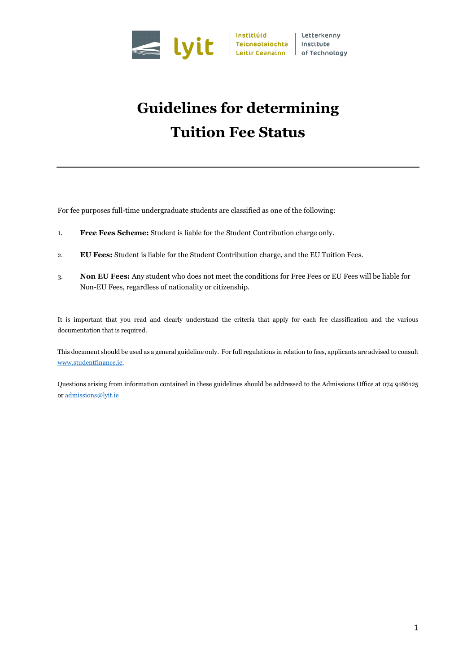

# **Guidelines for determining Tuition Fee Status**

For fee purposes full-time undergraduate students are classified as one of the following:

- 1. **Free Fees Scheme:** Student is liable for the Student Contribution charge only.
- 2. **EU Fees:** Student is liable for the Student Contribution charge, and the EU Tuition Fees.
- 3. **Non EU Fees:** Any student who does not meet the conditions for Free Fees or EU Fees will be liable for Non-EU Fees, regardless of nationality or citizenship.

It is important that you read and clearly understand the criteria that apply for each fee classification and the various documentation that is required.

This document should be used as a general guideline only. For full regulations in relation to fees, applicants are advised to consult [www.studentfinance.ie.](http://www.studentfinance.ie/)

Questions arising from information contained in these guidelines should be addressed to the Admissions Office at 074 9186125 o[r admissions@lyit.ie](mailto:admissions@lyit.ie)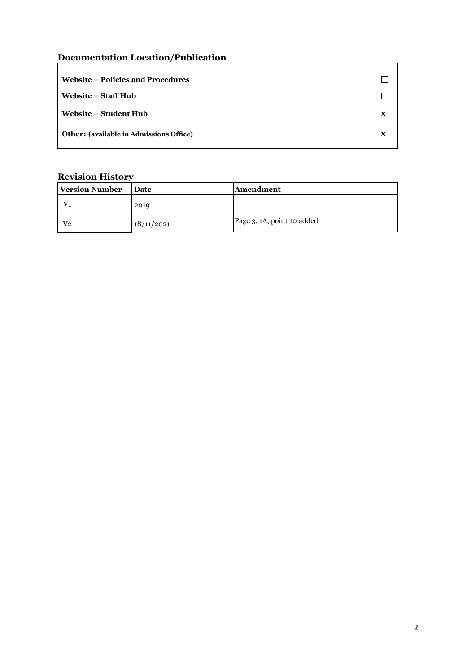# **Documentation Location/Publication**

| Website – Policies and Procedures              |             |
|------------------------------------------------|-------------|
| Website – Staff Hub                            |             |
| Website – Student Hub                          | $\mathbf x$ |
| <b>Other:</b> (available in Admissions Office) | X           |

# **Revision History**

| <b>Version Number</b> | Date       | Amendment                  |
|-----------------------|------------|----------------------------|
| V1                    | 2019       |                            |
| $\rm V2$              | 18/11/2021 | Page 3, 1A, point 10 added |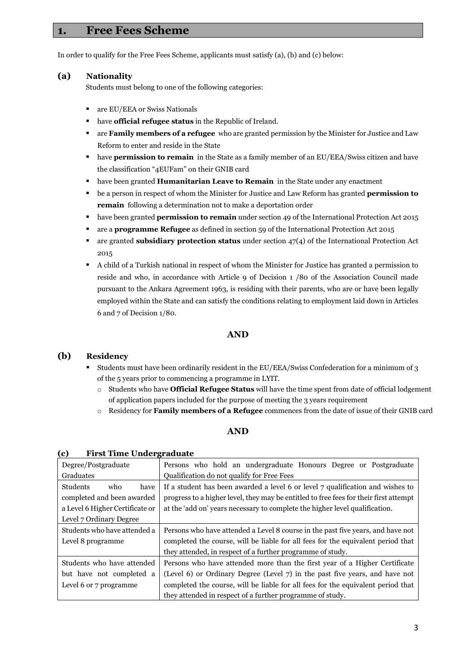# **1. Free Fees Scheme**

In order to qualify for the Free Fees Scheme, applicants must satisfy (a), (b) and (c) below:

#### **(a) Nationality**

Students must belong to one of the following categories:

- **a** are EU/EEA or Swiss Nationals
- have **official refugee status** in the Republic of Ireland.
- are **Family members of a refugee** who are granted permission by the Minister for Justice and Law Reform to enter and reside in the State
- **have permission to remain** in the State as a family member of an EU/EEA/Swiss citizen and have the classification "4EUFam" on their GNIB card
- **have been granted Humanitarian Leave to Remain** in the State under any enactment
- be a person in respect of whom the Minister for Justice and Law Reform has granted **permission to remain** following a determination not to make a deportation order
- **have been granted <b>permission to remain** under section 49 of the International Protection Act 2015
- are a **programme Refugee** as defined in section 59 of the International Protection Act 2015
- are granted **subsidiary protection status** under section 47(4) of the International Protection Act 2015
- A child of a Turkish national in respect of whom the Minister for Justice has granted a permission to reside and who, in accordance with Article 9 of Decision 1 /80 of the Association Council made pursuant to the Ankara Agreement 1963, is residing with their parents, who are or have been legally employed within the State and can satisfy the conditions relating to employment laid down in Articles 6 and 7 of Decision 1/80.

#### **AND**

#### **(b) Residency**

- Students must have been ordinarily resident in the EU/EEA/Swiss Confederation for a minimum of 3 of the 5 years prior to commencing a programme in LYIT.
	- o Students who have **Official Refugee Status** will have the time spent from date of official lodgement of application papers included for the purpose of meeting the 3 years requirement
	- o Residency for **Family members of a Refugee** commences from the date of issue of their GNIB card

#### **AND**

| Degree/Postgraduate             | Persons who hold an undergraduate Honours Degree or Postgraduate                      |
|---------------------------------|---------------------------------------------------------------------------------------|
| Graduates                       | Qualification do not qualify for Free Fees                                            |
| Students<br>who<br>have         | If a student has been awarded a level $6$ or level $7$ qualification and wishes to    |
| completed and been awarded      | progress to a higher level, they may be entitled to free fees for their first attempt |
| a Level 6 Higher Certificate or | at the 'add on' years necessary to complete the higher level qualification.           |
| Level 7 Ordinary Degree         |                                                                                       |
| Students who have attended a    | Persons who have attended a Level 8 course in the past five years, and have not       |
| Level 8 programme               | completed the course, will be liable for all fees for the equivalent period that      |
|                                 | they attended, in respect of a further programme of study.                            |
| Students who have attended      | Persons who have attended more than the first year of a Higher Certificate            |
| but have not completed a        | (Level 6) or Ordinary Degree (Level 7) in the past five years, and have not           |
| Level 6 or 7 programme          | completed the course, will be liable for all fees for the equivalent period that      |
|                                 | they attended in respect of a further programme of study.                             |

#### **(c) First Time Undergraduate**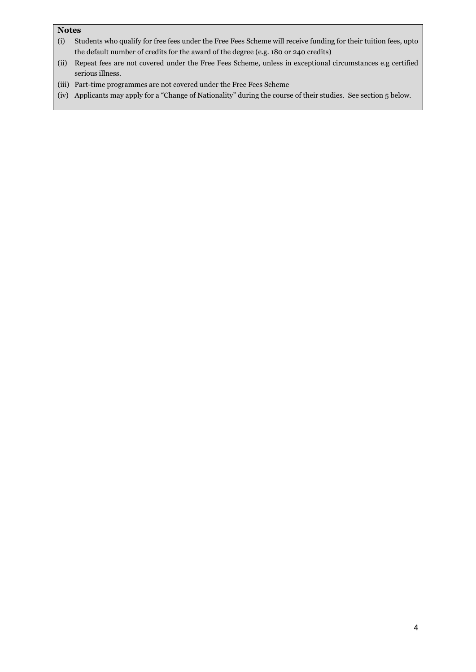### **Notes**

- (i) Students who qualify for free fees under the Free Fees Scheme will receive funding for their tuition fees, upto the default number of credits for the award of the degree (e.g. 180 or 240 credits)
- (ii) Repeat fees are not covered under the Free Fees Scheme, unless in exceptional circumstances e.g certified serious illness.
- (iii) Part-time programmes are not covered under the Free Fees Scheme
- (iv) Applicants may apply for a "Change of Nationality" during the course of their studies. See section 5 below.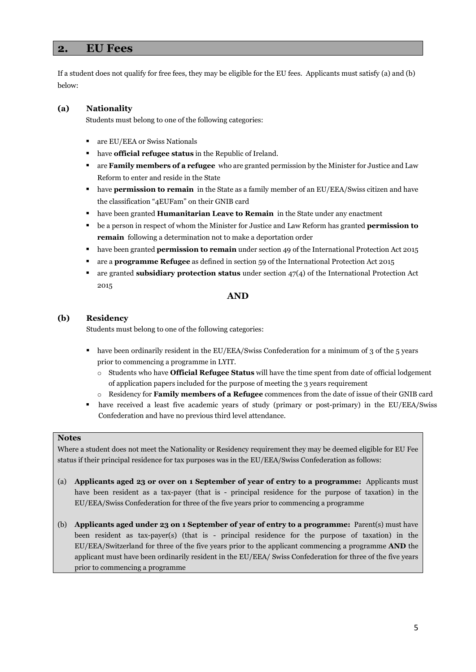# **2. EU Fees**

If a student does not qualify for free fees, they may be eligible for the EU fees. Applicants must satisfy (a) and (b) below:

#### **(a) Nationality**

Students must belong to one of the following categories:

- **a** are EU/EEA or Swiss Nationals
- have **official refugee status** in the Republic of Ireland.
- are **Family members of a refugee** who are granted permission by the Minister for Justice and Law Reform to enter and reside in the State
- **have permission to remain** in the State as a family member of an EU/EEA/Swiss citizen and have the classification "4EUFam" on their GNIB card
- have been granted **Humanitarian Leave to Remain** in the State under any enactment
- be a person in respect of whom the Minister for Justice and Law Reform has granted **permission to remain** following a determination not to make a deportation order
- **have been granted <b>permission to remain** under section 49 of the International Protection Act 2015
- are a **programme Refugee** as defined in section 59 of the International Protection Act 2015
- are granted **subsidiary protection status** under section 47(4) of the International Protection Act 2015

#### **AND**

#### **(b) Residency**

Students must belong to one of the following categories:

- $\blacksquare$  have been ordinarily resident in the EU/EEA/Swiss Confederation for a minimum of 3 of the 5 years prior to commencing a programme in LYIT.
	- o Students who have **Official Refugee Status** will have the time spent from date of official lodgement of application papers included for the purpose of meeting the 3 years requirement
	- o Residency for **Family members of a Refugee** commences from the date of issue of their GNIB card
- have received a least five academic years of study (primary or post-primary) in the EU/EEA/Swiss Confederation and have no previous third level attendance.

#### **Notes**

Where a student does not meet the Nationality or Residency requirement they may be deemed eligible for EU Fee status if their principal residence for tax purposes was in the EU/EEA/Swiss Confederation as follows:

- (a) **Applicants aged 23 or over on 1 September of year of entry to a programme:** Applicants must have been resident as a tax-payer (that is - principal residence for the purpose of taxation) in the EU/EEA/Swiss Confederation for three of the five years prior to commencing a programme
- (b) **Applicants aged under 23 on 1 September of year of entry to a programme:** Parent(s) must have been resident as tax-payer(s) (that is - principal residence for the purpose of taxation) in the EU/EEA/Switzerland for three of the five years prior to the applicant commencing a programme **AND** the applicant must have been ordinarily resident in the EU/EEA/ Swiss Confederation for three of the five years prior to commencing a programme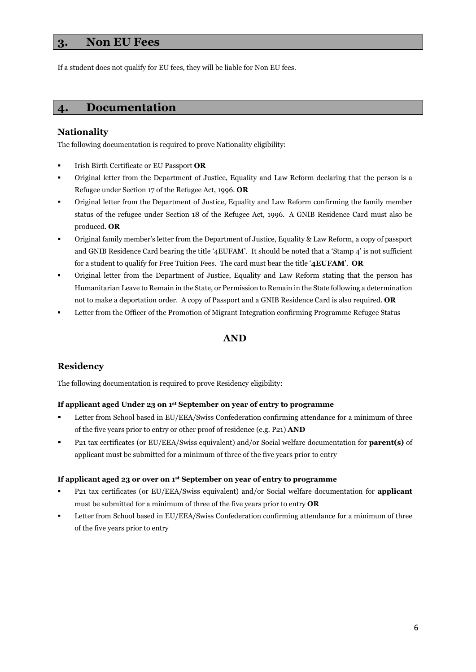# **3. Non EU Fees**

If a student does not qualify for EU fees, they will be liable for Non EU fees.

## **4. Documentation**

#### **Nationality**

The following documentation is required to prove Nationality eligibility:

- Irish Birth Certificate or EU Passport **OR**
- Original letter from the Department of Justice, Equality and Law Reform declaring that the person is a Refugee under Section 17 of the Refugee Act, 1996. **OR**
- Original letter from the Department of Justice, Equality and Law Reform confirming the family member status of the refugee under Section 18 of the Refugee Act, 1996. A GNIB Residence Card must also be produced. **OR**
- Original family member's letter from the Department of Justice, Equality & Law Reform, a copy of passport and GNIB Residence Card bearing the title '4EUFAM'. It should be noted that a 'Stamp 4' is not sufficient for a student to qualify for Free Tuition Fees. The card must bear the title '**4EUFAM**'. **OR**
- Original letter from the Department of Justice, Equality and Law Reform stating that the person has Humanitarian Leave to Remain in the State, or Permission to Remain in the State following a determination not to make a deportation order. A copy of Passport and a GNIB Residence Card is also required. **OR**
- Letter from the Officer of the Promotion of Migrant Integration confirming Programme Refugee Status

#### **AND**

#### **Residency**

The following documentation is required to prove Residency eligibility:

#### **If applicant aged Under 23 on 1st September on year of entry to programme**

- Letter from School based in EU/EEA/Swiss Confederation confirming attendance for a minimum of three of the five years prior to entry or other proof of residence (e.g. P21) **AND**
- P21 tax certificates (or EU/EEA/Swiss equivalent) and/or Social welfare documentation for **parent(s)** of applicant must be submitted for a minimum of three of the five years prior to entry

#### **If applicant aged 23 or over on 1st September on year of entry to programme**

- P21 tax certificates (or EU/EEA/Swiss equivalent) and/or Social welfare documentation for **applicant** must be submitted for a minimum of three of the five years prior to entry **OR**
- Letter from School based in EU/EEA/Swiss Confederation confirming attendance for a minimum of three of the five years prior to entry